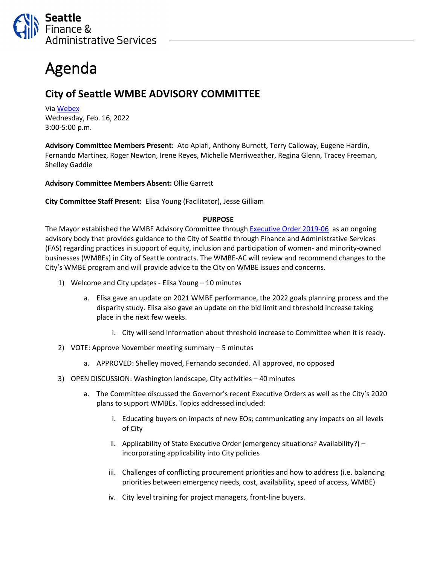

## Agenda

## **City of Seattle WMBE ADVISORY COMMITTEE**

Via [Webex](https://seattle.webex.com/seattle/j.php?MTID=m742ac92b96e72592223840007bda918e) Wednesday, Feb. 16, 2022 3:00-5:00 p.m.

**Advisory Committee Members Present:** Ato Apiafi, Anthony Burnett, Terry Calloway, Eugene Hardin, Fernando Martinez, Roger Newton, Irene Reyes, Michelle Merriweather, Regina Glenn, Tracey Freeman, Shelley Gaddie

**Advisory Committee Members Absent:** Ollie Garrett

**City Committee Staff Present:** Elisa Young (Facilitator), Jesse Gilliam

## **PURPOSE**

The Mayor established the WMBE Advisory Committee through [Executive Order](https://www.seattle.gov/Documents/Departments/FAS/PurchasingAndContracting/WMBE/Executive-Order-2019-06.pdf) 2019-06 as an ongoing advisory body that provides guidance to the City of Seattle through Finance and Administrative Services (FAS) regarding practices in support of equity, inclusion and participation of women- and minority-owned businesses (WMBEs) in City of Seattle contracts. The WMBE-AC will review and recommend changes to the City's WMBE program and will provide advice to the City on WMBE issues and concerns.

- 1) Welcome and City updates Elisa Young 10 minutes
	- a. Elisa gave an update on 2021 WMBE performance, the 2022 goals planning process and the disparity study. Elisa also gave an update on the bid limit and threshold increase taking place in the next few weeks.
		- i. City will send information about threshold increase to Committee when it is ready.
- 2) VOTE: Approve November meeting summary 5 minutes
	- a. APPROVED: Shelley moved, Fernando seconded. All approved, no opposed
- 3) OPEN DISCUSSION: Washington landscape, City activities 40 minutes
	- a. The Committee discussed the Governor's recent Executive Orders as well as the City's 2020 plans to support WMBEs. Topics addressed included:
		- i. Educating buyers on impacts of new EOs; communicating any impacts on all levels of City
		- ii. Applicability of State Executive Order (emergency situations? Availability?) incorporating applicability into City policies
		- iii. Challenges of conflicting procurement priorities and how to address (i.e. balancing priorities between emergency needs, cost, availability, speed of access, WMBE)
		- iv. City level training for project managers, front-line buyers.